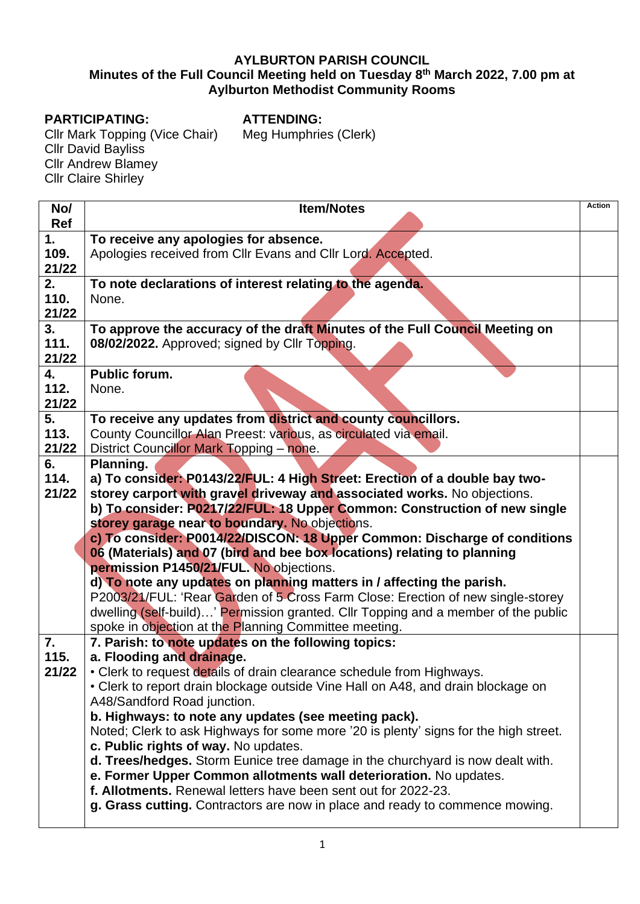## **AYLBURTON PARISH COUNCIL Minutes of the Full Council Meeting held on Tuesday 8 th March 2022, 7.00 pm at Aylburton Methodist Community Rooms**

## **PARTICIPATING:**

**ATTENDING:** Meg Humphries (Clerk)

Cllr Mark Topping (Vice Chair) Cllr David Bayliss Cllr Andrew Blamey Cllr Claire Shirley

| No/        | <b>Item/Notes</b>                                                                                            | <b>Action</b> |  |
|------------|--------------------------------------------------------------------------------------------------------------|---------------|--|
| <b>Ref</b> |                                                                                                              |               |  |
| 1.         | To receive any apologies for absence.                                                                        |               |  |
| 109.       | Apologies received from Cllr Evans and Cllr Lord. Accepted.                                                  |               |  |
| 21/22      |                                                                                                              |               |  |
| 2.         | To note declarations of interest relating to the agenda.                                                     |               |  |
| 110.       | None.                                                                                                        |               |  |
| 21/22      |                                                                                                              |               |  |
| 3.         | To approve the accuracy of the draft Minutes of the Full Council Meeting on                                  |               |  |
| 111.       | 08/02/2022. Approved; signed by Cllr Topping.                                                                |               |  |
| 21/22      |                                                                                                              |               |  |
| 4.         | <b>Public forum.</b>                                                                                         |               |  |
| 112.       | None.                                                                                                        |               |  |
| 21/22      |                                                                                                              |               |  |
| 5.         | To receive any updates from district and county councillors.                                                 |               |  |
| 113.       | County Councillor Alan Preest: various, as circulated via email.                                             |               |  |
| 21/22      | District Councillor Mark Topping - none.                                                                     |               |  |
| 6.         | Planning.                                                                                                    |               |  |
| 114.       | a) To consider: P0143/22/FUL: 4 High Street: Erection of a double bay two-                                   |               |  |
| 21/22      | storey carport with gravel driveway and associated works. No objections.                                     |               |  |
|            | b) To consider: P0217/22/FUL: 18 Upper Common: Construction of new single                                    |               |  |
|            | storey garage near to boundary. No objections.                                                               |               |  |
|            | c) To consider: P0014/22/DISCON: 18 Upper Common: Discharge of conditions                                    |               |  |
|            | 06 (Materials) and 07 (bird and bee box locations) relating to planning                                      |               |  |
|            | permission P1450/21/FUL. No objections.                                                                      |               |  |
|            | d) To note any updates on planning matters in / affecting the parish.                                        |               |  |
|            | P2003/21/FUL: 'Rear Garden of 5 Cross Farm Close: Erection of new single-storey                              |               |  |
|            | dwelling (self-build)' Permission granted. Cllr Topping and a member of the public                           |               |  |
| 7.         | spoke in objection at the Planning Committee meeting.<br>7. Parish: to note updates on the following topics: |               |  |
| 115.       | a. Flooding and drainage.                                                                                    |               |  |
| 21/22      | • Clerk to request details of drain clearance schedule from Highways.                                        |               |  |
|            | • Clerk to report drain blockage outside Vine Hall on A48, and drain blockage on                             |               |  |
|            | A48/Sandford Road junction.                                                                                  |               |  |
|            | b. Highways: to note any updates (see meeting pack).                                                         |               |  |
|            | Noted; Clerk to ask Highways for some more '20 is plenty' signs for the high street.                         |               |  |
|            | c. Public rights of way. No updates.                                                                         |               |  |
|            | d. Trees/hedges. Storm Eunice tree damage in the churchyard is now dealt with.                               |               |  |
|            | e. Former Upper Common allotments wall deterioration. No updates.                                            |               |  |
|            | f. Allotments. Renewal letters have been sent out for 2022-23.                                               |               |  |
|            | g. Grass cutting. Contractors are now in place and ready to commence mowing.                                 |               |  |
|            |                                                                                                              |               |  |